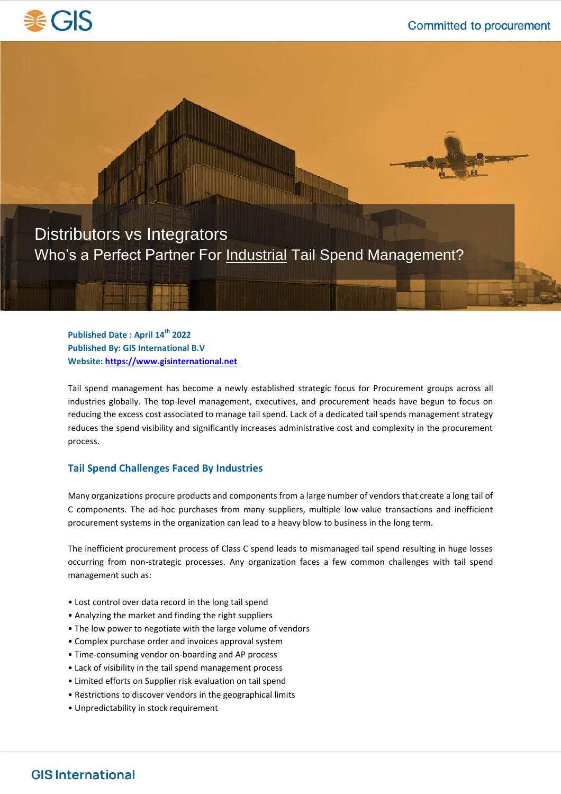



**Published Date : April 14th 2022 Published By: GIS International B.V Website[: https://www.gisinternational.net](https://www.gisinternational.net/)**

Tail spend management has become a newly established strategic focus for Procurement groups across all industries globally. The top-level management, executives, and procurement heads have begun to focus on reducing the excess cost associated to manage tail spend. Lack of a dedicated tail spends management strategy reduces the spend visibility and significantly increases administrative cost and complexity in the procurement process.

### **Tail Spend Challenges Faced By Industries**

Many organizations procure products and components from a large number of vendors that create a long tail of C components. The ad-hoc purchases from many suppliers, multiple low-value transactions and inefficient procurement systems in the organization can lead to a heavy blow to business in the long term.

The inefficient procurement process of Class C spend leads to mismanaged tail spend resulting in huge losses occurring from non-strategic processes. Any organization faces a few common challenges with tail spend management such as:

- Lost control over data record in the long tail spend
- Analyzing the market and finding the right suppliers
- The low power to negotiate with the large volume of vendors
- Complex purchase order and invoices approval system
- Time-consuming vendor on-boarding and AP process
- Lack of visibility in the tail spend management process
- Limited efforts on Supplier risk evaluation on tail spend
- Restrictions to discover vendors in the geographical limits
- Unpredictability in stock requirement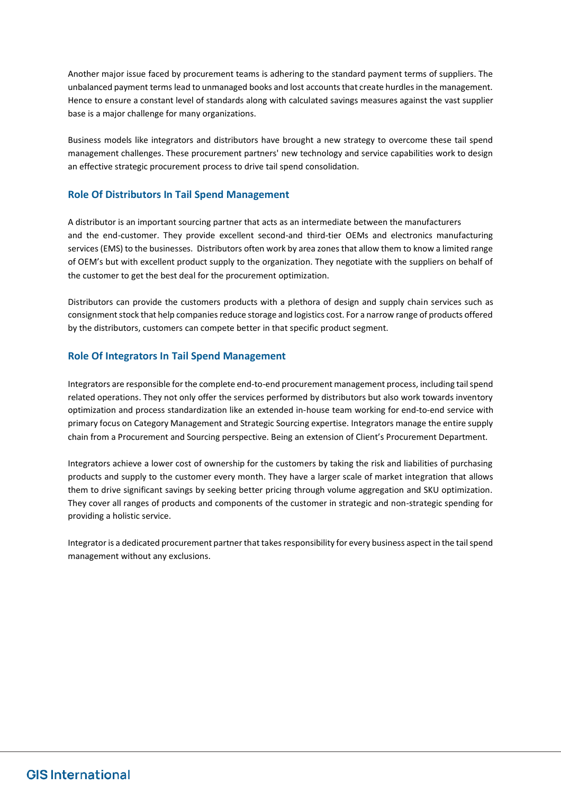Another major issue faced by procurement teams is adhering to the standard payment terms of suppliers. The unbalanced payment terms lead to unmanaged books and lost accounts that create hurdles in the management. Hence to ensure a constant level of standards along with calculated savings measures against the vast supplier base is a major challenge for many organizations.

Business models like integrators and distributors have brought a new strategy to overcome these tail spend management challenges. These procurement partners' new technology and service capabilities work to design an effective strategic procurement process to drive tail spend consolidation.

## **Role Of Distributors In Tail Spend Management**

A distributor is an important sourcing partner that acts as an intermediate between the manufacturers and the end-customer. They provide excellent second-and third-tier OEMs and electronics manufacturing services (EMS) to the businesses. Distributors often work by area zones that allow them to know a limited range of OEM's but with excellent product supply to the organization. They negotiate with the suppliers on behalf of the customer to get the best deal for the procurement optimization.

Distributors can provide the customers products with a plethora of design and supply chain services such as consignment stock that help companies reduce storage and logistics cost. For a narrow range of products offered by the distributors, customers can compete better in that specific product segment.

## **Role Of Integrators In Tail Spend Management**

Integrators are responsible for the complete end-to-end procurement management process, including tail spend related operations. They not only offer the services performed by distributors but also work towards inventory optimization and process standardization like an extended in-house team working for end-to-end service with primary focus on Category Management and Strategic Sourcing expertise. Integrators manage the entire supply chain from a Procurement and Sourcing perspective. Being an extension of Client's Procurement Department.

Integrators achieve a lower cost of ownership for the customers by taking the risk and liabilities of purchasing products and supply to the customer every month. They have a larger scale of market integration that allows them to drive significant savings by seeking better pricing through volume aggregation and SKU optimization. They cover all ranges of products and components of the customer in strategic and non-strategic spending for providing a holistic service.

Integrator is a dedicated procurement partner that takes responsibility for every business aspect in the tail spend management without any exclusions.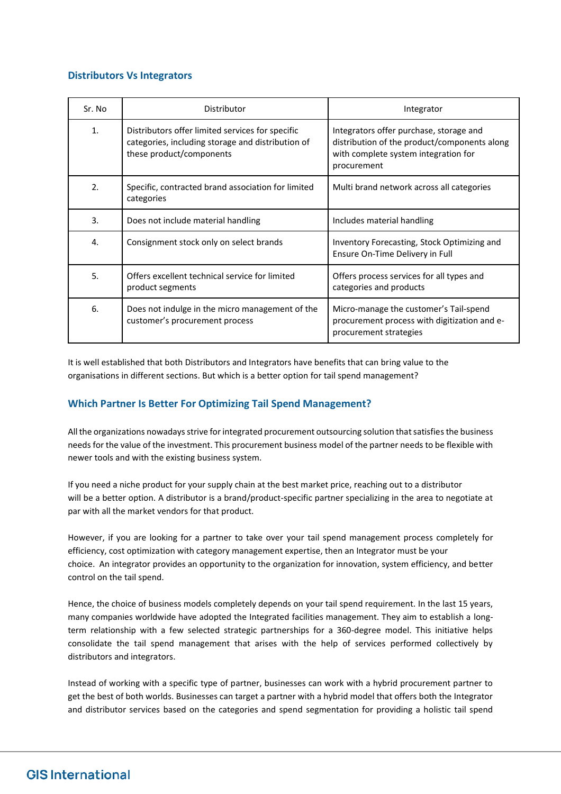## **Distributors Vs Integrators**

| Sr. No | Distributor                                                                                                                       | Integrator                                                                                                                                     |
|--------|-----------------------------------------------------------------------------------------------------------------------------------|------------------------------------------------------------------------------------------------------------------------------------------------|
| 1.     | Distributors offer limited services for specific<br>categories, including storage and distribution of<br>these product/components | Integrators offer purchase, storage and<br>distribution of the product/components along<br>with complete system integration for<br>procurement |
| 2.     | Specific, contracted brand association for limited<br>categories                                                                  | Multi brand network across all categories                                                                                                      |
| 3.     | Does not include material handling                                                                                                | Includes material handling                                                                                                                     |
| 4.     | Consignment stock only on select brands                                                                                           | Inventory Forecasting, Stock Optimizing and<br>Ensure On-Time Delivery in Full                                                                 |
| 5.     | Offers excellent technical service for limited<br>product segments                                                                | Offers process services for all types and<br>categories and products                                                                           |
| 6.     | Does not indulge in the micro management of the<br>customer's procurement process                                                 | Micro-manage the customer's Tail-spend<br>procurement process with digitization and e-<br>procurement strategies                               |

It is well established that both Distributors and Integrators have benefits that can bring value to the organisations in different sections. But which is a better option for tail spend management?

## **Which Partner Is Better For Optimizing Tail Spend Management?**

All the organizations nowadays strive for integrated procurement outsourcing solution that satisfies the business needs for the value of the investment. This procurement business model of the partner needs to be flexible with newer tools and with the existing business system.

If you need a niche product for your supply chain at the best market price, reaching out to a distributor will be a better option. A distributor is a brand/product-specific partner specializing in the area to negotiate at par with all the market vendors for that product.

However, if you are looking for a partner to take over your tail spend management process completely for efficiency, cost optimization with category management expertise, then an Integrator must be your choice. An integrator provides an opportunity to the organization for innovation, system efficiency, and better control on the tail spend.

Hence, the choice of business models completely depends on your tail spend requirement. In the last 15 years, many companies worldwide have adopted the Integrated facilities management. They aim to establish a longterm relationship with a few selected strategic partnerships for a 360-degree model. This initiative helps consolidate the tail spend management that arises with the help of services performed collectively by distributors and integrators.

Instead of working with a specific type of partner, businesses can work with a hybrid procurement partner to get the best of both worlds. Businesses can target a partner with a hybrid model that offers both the Integrator and distributor services based on the categories and spend segmentation for providing a holistic tail spend

# **GIS International**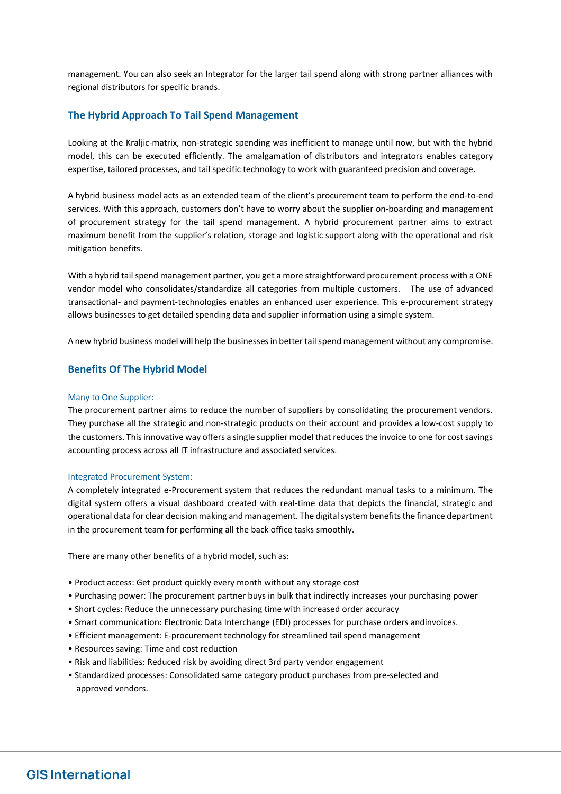management. You can also seek an Integrator for the larger tail spend along with strong partner alliances with regional distributors for specific brands.

### **The Hybrid Approach To Tail Spend Management**

Looking at the Kraljic-matrix, non-strategic spending was inefficient to manage until now, but with the hybrid model, this can be executed efficiently. The amalgamation of distributors and integrators enables category expertise, tailored processes, and tail specific technology to work with guaranteed precision and coverage.

A hybrid business model acts as an extended team of the client's procurement team to perform the end-to-end services. With this approach, customers don't have to worry about the supplier on-boarding and management of procurement strategy for the tail spend management. A hybrid procurement partner aims to extract maximum benefit from the supplier's relation, storage and logistic support along with the operational and risk mitigation benefits.

With a hybrid tail spend management partner, you get a more straightforward procurement process with a ONE vendor model who consolidates/standardize all categories from multiple customers. The use of advanced transactional- and payment-technologies enables an enhanced user experience. This e-procurement strategy allows businesses to get detailed spending data and supplier information using a simple system.

A new hybrid business model will help the businesses in better tail spend management without any compromise.

#### **Benefits Of The Hybrid Model**

#### Many to One Supplier:

The procurement partner aims to reduce the number of suppliers by consolidating the procurement vendors. They purchase all the strategic and non-strategic products on their account and provides a low-cost supply to the customers. This innovative way offers a single supplier model that reduces the invoice to one for cost savings accounting process across all IT infrastructure and associated services.

#### Integrated Procurement System:

A completely integrated e-Procurement system that reduces the redundant manual tasks to a minimum. The digital system offers a visual dashboard created with real-time data that depicts the financial, strategic and operational data for clear decision making and management. The digital system benefits the finance department in the procurement team for performing all the back office tasks smoothly.

There are many other benefits of a hybrid model, such as:

- Product access: Get product quickly every month without any storage cost
- Purchasing power: The procurement partner buys in bulk that indirectly increases your purchasing power
- Short cycles: Reduce the unnecessary purchasing time with increased order accuracy
- Smart communication: Electronic Data Interchange (EDI) processes for purchase orders andinvoices.
- Efficient management: E-procurement technology for streamlined tail spend management
- Resources saving: Time and cost reduction
- Risk and liabilities: Reduced risk by avoiding direct 3rd party vendor engagement
- Standardized processes: Consolidated same category product purchases from pre-selected and approved vendors.